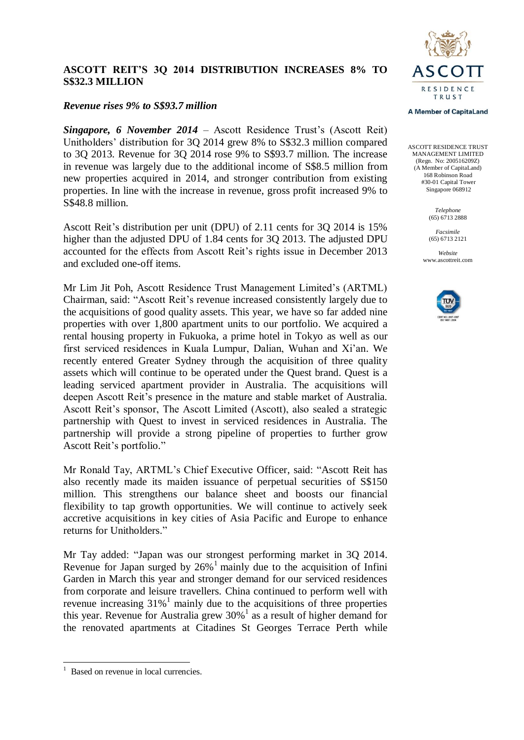

# **ASCOTT REIT'S 3Q 2014 DISTRIBUTION INCREASES 8% TO S\$32.3 MILLION**

## *Revenue rises 9% to S\$93.7 million*

*Singapore, 6 November 2014* – Ascott Residence Trust's (Ascott Reit) Unitholders' distribution for 3Q 2014 grew 8% to S\$32.3 million compared to 3Q 2013. Revenue for 3Q 2014 rose 9% to S\$93.7 million. The increase in revenue was largely due to the additional income of S\$8.5 million from new properties acquired in 2014, and stronger contribution from existing properties. In line with the increase in revenue, gross profit increased 9% to S\$48.8 million.

Ascott Reit's distribution per unit (DPU) of 2.11 cents for 3Q 2014 is 15% higher than the adjusted DPU of 1.84 cents for 3Q 2013. The adjusted DPU accounted for the effects from Ascott Reit's rights issue in December 2013 and excluded one-off items.

Mr Lim Jit Poh, Ascott Residence Trust Management Limited's (ARTML) Chairman, said: "Ascott Reit's revenue increased consistently largely due to the acquisitions of good quality assets. This year, we have so far added nine properties with over 1,800 apartment units to our portfolio. We acquired a rental housing property in Fukuoka, a prime hotel in Tokyo as well as our first serviced residences in Kuala Lumpur, Dalian, Wuhan and Xi'an. We recently entered Greater Sydney through the acquisition of three quality assets which will continue to be operated under the Quest brand. Quest is a leading serviced apartment provider in Australia. The acquisitions will deepen Ascott Reit's presence in the mature and stable market of Australia. Ascott Reit's sponsor, The Ascott Limited (Ascott), also sealed a strategic partnership with Quest to invest in serviced residences in Australia. The partnership will provide a strong pipeline of properties to further grow Ascott Reit's portfolio."

Mr Ronald Tay, ARTML's Chief Executive Officer, said: "Ascott Reit has also recently made its maiden issuance of perpetual securities of S\$150 million. This strengthens our balance sheet and boosts our financial flexibility to tap growth opportunities. We will continue to actively seek accretive acquisitions in key cities of Asia Pacific and Europe to enhance returns for Unitholders."

Mr Tay added: "Japan was our strongest performing market in 3Q 2014. Revenue for Japan surged by 26% <sup>1</sup> mainly due to the acquisition of Infini Garden in March this year and stronger demand for our serviced residences from corporate and leisure travellers. China continued to perform well with revenue increasing  $31\%$ <sup>1</sup> mainly due to the acquisitions of three properties this year. Revenue for Australia grew  $30\%$ <sup>1</sup> as a result of higher demand for the renovated apartments at Citadines St Georges Terrace Perth while

-

#### **A Member of CapitaLand**

ASCOTT RESIDENCE TRUST MANAGEMENT LIMITED (Regn. No: 200516209Z) (A Member of CapitaLand) 168 Robinson Road #30-01 Capital Tower Singapore 068912

> *Telephone* (65) 6713 2888

*Facsimile* (65) 6713 2121

*Website* www.ascottreit.com



<sup>1</sup> Based on revenue in local currencies.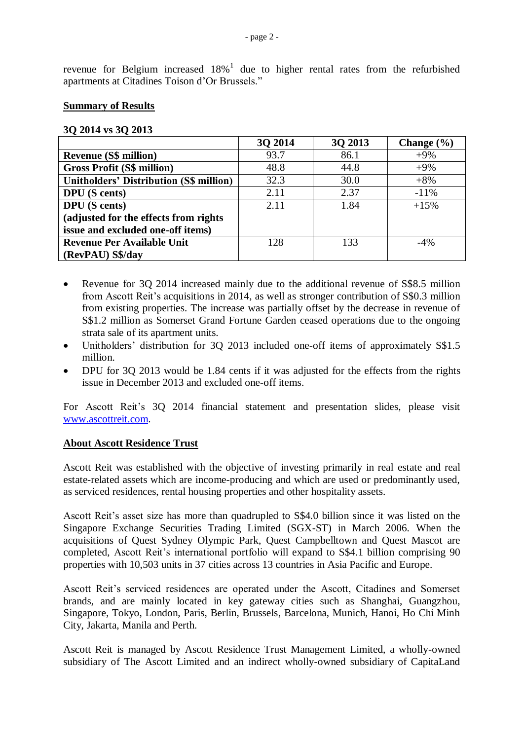revenue for Belgium increased  $18\%$ <sup>1</sup> due to higher rental rates from the refurbished apartments at Citadines Toison d'Or Brussels."

#### **Summary of Results**

#### **3Q 2014 vs 3Q 2013**

|                                                | 30 2014 | 3Q 2013 | Change $(\% )$ |
|------------------------------------------------|---------|---------|----------------|
| <b>Revenue (S\$ million)</b>                   | 93.7    | 86.1    | $+9\%$         |
| <b>Gross Profit (S\$ million)</b>              | 48.8    | 44.8    | $+9%$          |
| <b>Unitholders' Distribution (S\$ million)</b> | 32.3    | 30.0    | $+8%$          |
| <b>DPU</b> (S cents)                           | 2.11    | 2.37    | $-11\%$        |
| <b>DPU</b> (S cents)                           | 2.11    | 1.84    | $+15%$         |
| (adjusted for the effects from rights)         |         |         |                |
| issue and excluded one-off items)              |         |         |                |
| <b>Revenue Per Available Unit</b>              | 128     | 133     | $-4\%$         |
| (RevPAU) S\$/day                               |         |         |                |

- Revenue for 3Q 2014 increased mainly due to the additional revenue of S\$8.5 million from Ascott Reit's acquisitions in 2014, as well as stronger contribution of S\$0.3 million from existing properties. The increase was partially offset by the decrease in revenue of S\$1.2 million as Somerset Grand Fortune Garden ceased operations due to the ongoing strata sale of its apartment units.
- Unitholders' distribution for 3Q 2013 included one-off items of approximately S\$1.5 million.
- DPU for 3Q 2013 would be 1.84 cents if it was adjusted for the effects from the rights issue in December 2013 and excluded one-off items.

For Ascott Reit's 3Q 2014 financial statement and presentation slides, please visit [www.ascottreit.com.](http://www.ascottreit.com/)

### **About Ascott Residence Trust**

Ascott Reit was established with the objective of investing primarily in real estate and real estate-related assets which are income-producing and which are used or predominantly used, as serviced residences, rental housing properties and other hospitality assets.

Ascott Reit's asset size has more than quadrupled to S\$4.0 billion since it was listed on the Singapore Exchange Securities Trading Limited (SGX-ST) in March 2006. When the acquisitions of Quest Sydney Olympic Park, Quest Campbelltown and Quest Mascot are completed, Ascott Reit's international portfolio will expand to S\$4.1 billion comprising 90 properties with 10,503 units in 37 cities across 13 countries in Asia Pacific and Europe.

Ascott Reit's serviced residences are operated under the Ascott, Citadines and Somerset brands, and are mainly located in key gateway cities such as Shanghai, Guangzhou, Singapore, Tokyo, London, Paris, Berlin, Brussels, Barcelona, Munich, Hanoi, Ho Chi Minh City, Jakarta, Manila and Perth.

Ascott Reit is managed by Ascott Residence Trust Management Limited, a wholly-owned subsidiary of The Ascott Limited and an indirect wholly-owned subsidiary of CapitaLand